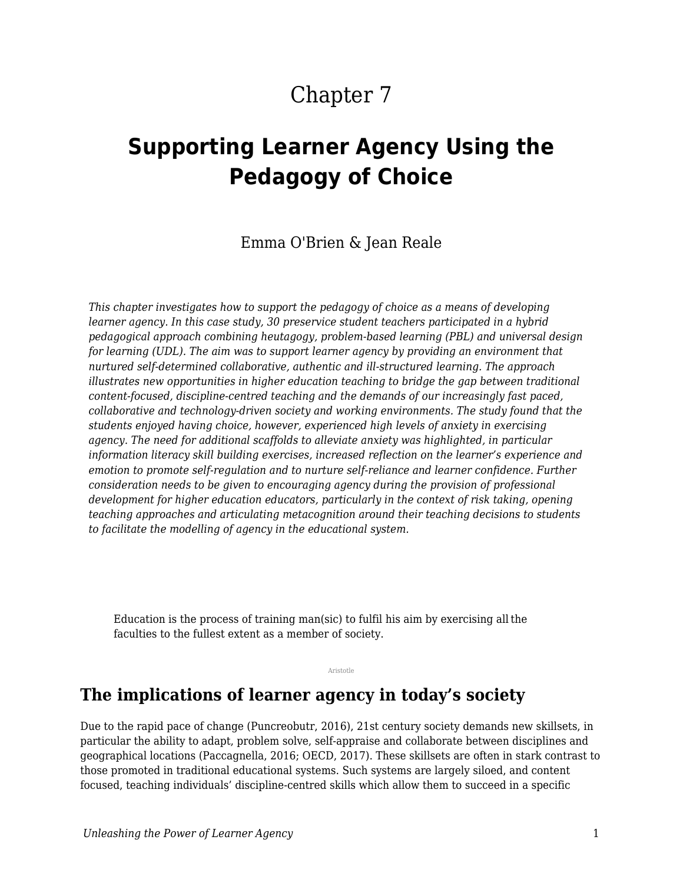# Chapter 7

# **Supporting Learner Agency Using the Pedagogy of Choice**

Emma O'Brien & Jean Reale

*This chapter investigates how to support the pedagogy of choice as a means of developing learner agency. In this case study, 30 preservice student teachers participated in a hybrid pedagogical approach combining heutagogy, problem-based learning (PBL) and universal design for learning (UDL). The aim was to support learner agency by providing an environment that nurtured self-determined collaborative, authentic and ill-structured learning. The approach illustrates new opportunities in higher education teaching to bridge the gap between traditional content-focused, discipline-centred teaching and the demands of our increasingly fast paced, collaborative and technology-driven society and working environments. The study found that the students enjoyed having choice, however, experienced high levels of anxiety in exercising agency. The need for additional scaffolds to alleviate anxiety was highlighted, in particular information literacy skill building exercises, increased reflection on the learner's experience and emotion to promote self-regulation and to nurture self-reliance and learner confidence. Further consideration needs to be given to encouraging agency during the provision of professional development for higher education educators, particularly in the context of risk taking, opening teaching approaches and articulating metacognition around their teaching decisions to students to facilitate the modelling of agency in the educational system.*

Education is the process of training man(sic) to fulfil his aim by exercising all the faculties to the fullest extent as a member of society.

Aristotle

### **The implications of learner agency in today's society**

Due to the rapid pace of change (Puncreobutr, 2016), 21st century society demands new skillsets, in particular the ability to adapt, problem solve, self-appraise and collaborate between disciplines and geographical locations (Paccagnella, 2016; OECD, 2017). These skillsets are often in stark contrast to those promoted in traditional educational systems. Such systems are largely siloed, and content focused, teaching individuals' discipline-centred skills which allow them to succeed in a specific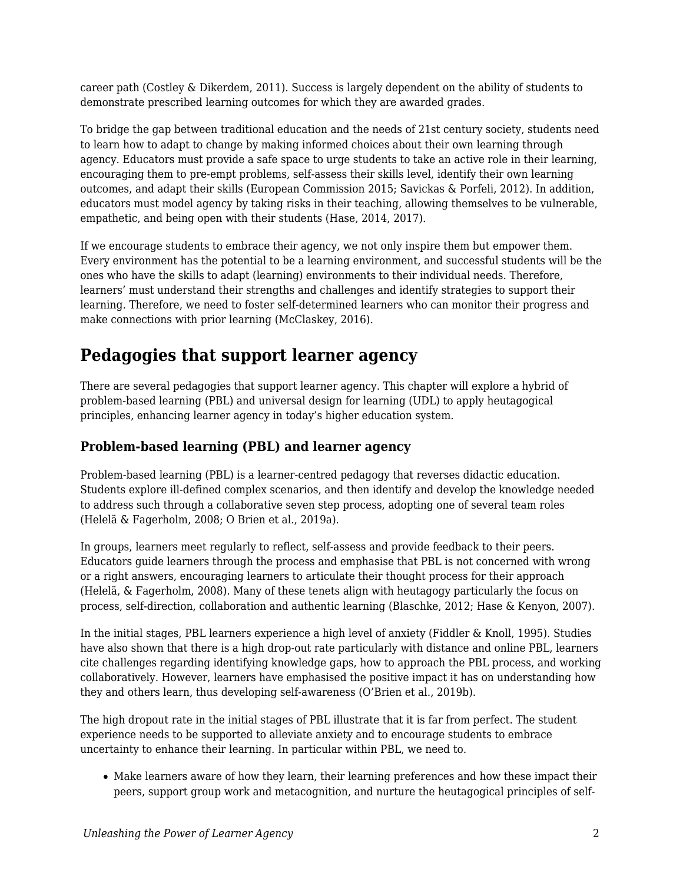career path (Costley & Dikerdem, 2011). Success is largely dependent on the ability of students to demonstrate prescribed learning outcomes for which they are awarded grades.

To bridge the gap between traditional education and the needs of 21st century society, students need to learn how to adapt to change by making informed choices about their own learning through agency. Educators must provide a safe space to urge students to take an active role in their learning, encouraging them to pre-empt problems, self-assess their skills level, identify their own learning outcomes, and adapt their skills (European Commission 2015; Savickas & Porfeli, 2012). In addition, educators must model agency by taking risks in their teaching, allowing themselves to be vulnerable, empathetic, and being open with their students (Hase, 2014, 2017).

If we encourage students to embrace their agency, we not only inspire them but empower them. Every environment has the potential to be a learning environment, and successful students will be the ones who have the skills to adapt (learning) environments to their individual needs. Therefore, learners' must understand their strengths and challenges and identify strategies to support their learning. Therefore, we need to foster self-determined learners who can monitor their progress and make connections with prior learning (McClaskey, 2016).

## **Pedagogies that support learner agency**

There are several pedagogies that support learner agency. This chapter will explore a hybrid of problem-based learning (PBL) and universal design for learning (UDL) to apply heutagogical principles, enhancing learner agency in today's higher education system.

### **Problem-based learning (PBL) and learner agency**

Problem-based learning (PBL) is a learner-centred pedagogy that reverses didactic education. Students explore ill-defined complex scenarios, and then identify and develop the knowledge needed to address such through a collaborative seven step process, adopting one of several team roles (Helelä & Fagerholm, 2008; O Brien et al., 2019a).

In groups, learners meet regularly to reflect, self-assess and provide feedback to their peers. Educators guide learners through the process and emphasise that PBL is not concerned with wrong or a right answers, encouraging learners to articulate their thought process for their approach (Helelä, & Fagerholm, 2008). Many of these tenets align with heutagogy particularly the focus on process, self-direction, collaboration and authentic learning (Blaschke, 2012; Hase & Kenyon, 2007).

In the initial stages, PBL learners experience a high level of anxiety (Fiddler & Knoll, 1995). Studies have also shown that there is a high drop-out rate particularly with distance and online PBL, learners cite challenges regarding identifying knowledge gaps, how to approach the PBL process, and working collaboratively. However, learners have emphasised the positive impact it has on understanding how they and others learn, thus developing self-awareness (O'Brien et al., 2019b).

The high dropout rate in the initial stages of PBL illustrate that it is far from perfect. The student experience needs to be supported to alleviate anxiety and to encourage students to embrace uncertainty to enhance their learning. In particular within PBL, we need to.

Make learners aware of how they learn, their learning preferences and how these impact their peers, support group work and metacognition, and nurture the heutagogical principles of self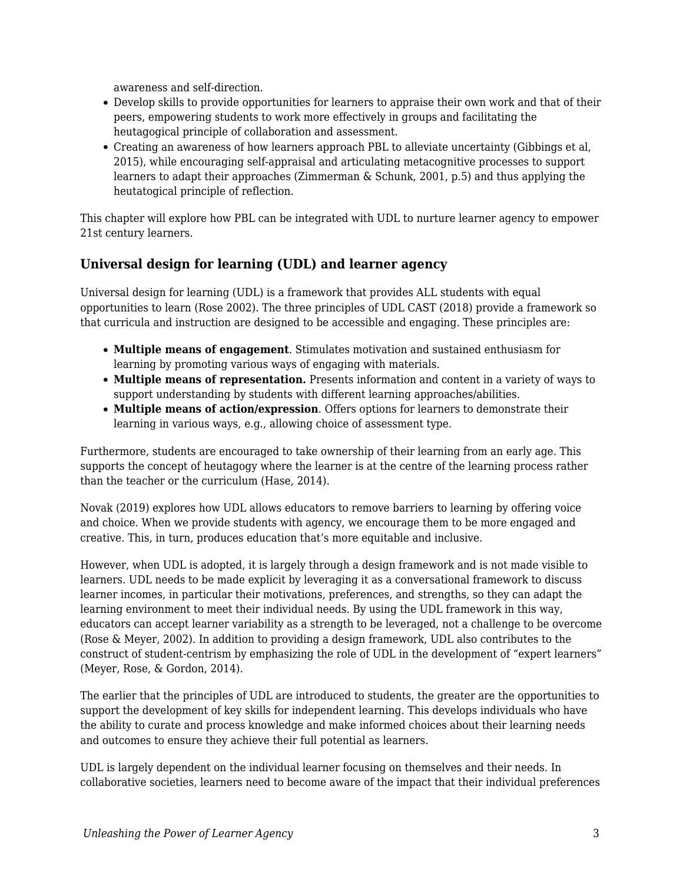awareness and self-direction.

- Develop skills to provide opportunities for learners to appraise their own work and that of their peers, empowering students to work more effectively in groups and facilitating the heutagogical principle of collaboration and assessment.
- Creating an awareness of how learners approach PBL to alleviate uncertainty (Gibbings et al, 2015), while encouraging self-appraisal and articulating metacognitive processes to support learners to adapt their approaches (Zimmerman & Schunk, 2001, p.5) and thus applying the heutatogical principle of reflection.

This chapter will explore how PBL can be integrated with UDL to nurture learner agency to empower 21st century learners.

#### **Universal design for learning (UDL) and learner agency**

Universal design for learning (UDL) is a framework that provides ALL students with equal opportunities to learn (Rose 2002). The three principles of UDL CAST (2018) provide a framework so that curricula and instruction are designed to be accessible and engaging. These principles are:

- **Multiple means of engagement**. Stimulates motivation and sustained enthusiasm for learning by promoting various ways of engaging with materials.
- **Multiple means of representation.** Presents information and content in a variety of ways to support understanding by students with different learning approaches/abilities.
- **Multiple means of action/expression**. Offers options for learners to demonstrate their learning in various ways, e.g., allowing choice of assessment type.

Furthermore, students are encouraged to take ownership of their learning from an early age. This supports the concept of heutagogy where the learner is at the centre of the learning process rather than the teacher or the curriculum (Hase, 2014).

Novak (2019) explores how UDL allows educators to remove barriers to learning by offering voice and choice. When we provide students with agency, we encourage them to be more engaged and creative. This, in turn, produces education that's more equitable and inclusive.

However, when UDL is adopted, it is largely through a design framework and is not made visible to learners. UDL needs to be made explicit by leveraging it as a conversational framework to discuss learner incomes, in particular their motivations, preferences, and strengths, so they can adapt the learning environment to meet their individual needs. By using the UDL framework in this way, educators can accept learner variability as a strength to be leveraged, not a challenge to be overcome (Rose & Meyer, 2002). In addition to providing a design framework, UDL also contributes to the construct of student-centrism by emphasizing the role of UDL in the development of "expert learners" (Meyer, Rose, & Gordon, 2014).

The earlier that the principles of UDL are introduced to students, the greater are the opportunities to support the development of key skills for independent learning. This develops individuals who have the ability to curate and process knowledge and make informed choices about their learning needs and outcomes to ensure they achieve their full potential as learners.

UDL is largely dependent on the individual learner focusing on themselves and their needs. In collaborative societies, learners need to become aware of the impact that their individual preferences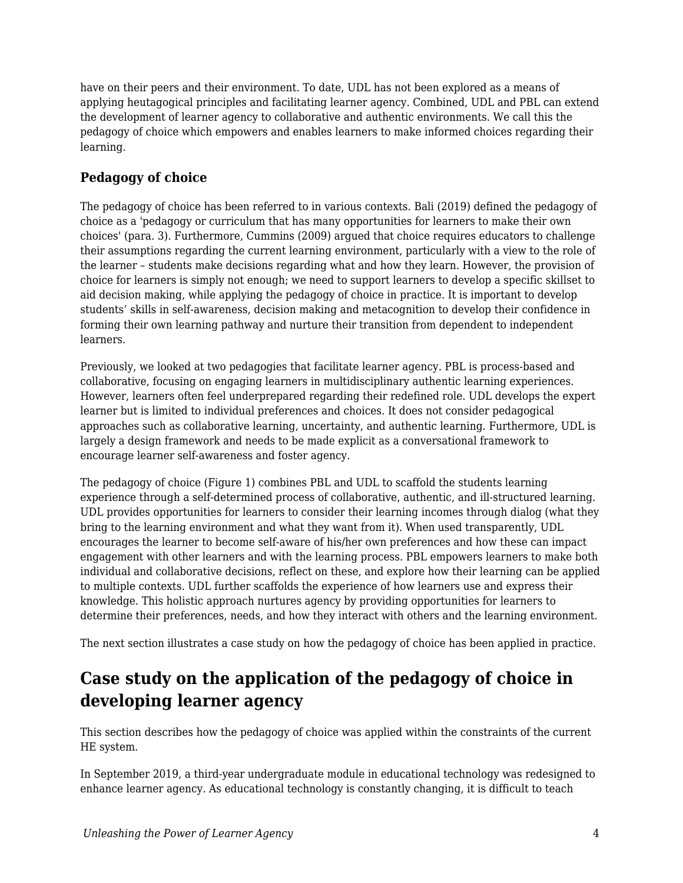have on their peers and their environment. To date, UDL has not been explored as a means of applying heutagogical principles and facilitating learner agency. Combined, UDL and PBL can extend the development of learner agency to collaborative and authentic environments. We call this the pedagogy of choice which empowers and enables learners to make informed choices regarding their learning.

### **Pedagogy of choice**

The pedagogy of choice has been referred to in various contexts. Bali (2019) defined the pedagogy of choice as a 'pedagogy or curriculum that has many opportunities for learners to make their own choices' (para. 3). Furthermore, Cummins (2009) argued that choice requires educators to challenge their assumptions regarding the current learning environment, particularly with a view to the role of the learner – students make decisions regarding what and how they learn. However, the provision of choice for learners is simply not enough; we need to support learners to develop a specific skillset to aid decision making, while applying the pedagogy of choice in practice. It is important to develop students' skills in self-awareness, decision making and metacognition to develop their confidence in forming their own learning pathway and nurture their transition from dependent to independent learners.

Previously, we looked at two pedagogies that facilitate learner agency. PBL is process-based and collaborative, focusing on engaging learners in multidisciplinary authentic learning experiences. However, learners often feel underprepared regarding their redefined role. UDL develops the expert learner but is limited to individual preferences and choices. It does not consider pedagogical approaches such as collaborative learning, uncertainty, and authentic learning. Furthermore, UDL is largely a design framework and needs to be made explicit as a conversational framework to encourage learner self-awareness and foster agency.

The pedagogy of choice (Figure 1) combines PBL and UDL to scaffold the students learning experience through a self-determined process of collaborative, authentic, and ill-structured learning. UDL provides opportunities for learners to consider their learning incomes through dialog (what they bring to the learning environment and what they want from it). When used transparently, UDL encourages the learner to become self-aware of his/her own preferences and how these can impact engagement with other learners and with the learning process. PBL empowers learners to make both individual and collaborative decisions, reflect on these, and explore how their learning can be applied to multiple contexts. UDL further scaffolds the experience of how learners use and express their knowledge. This holistic approach nurtures agency by providing opportunities for learners to determine their preferences, needs, and how they interact with others and the learning environment.

The next section illustrates a case study on how the pedagogy of choice has been applied in practice.

## **Case study on the application of the pedagogy of choice in developing learner agency**

This section describes how the pedagogy of choice was applied within the constraints of the current HE system.

In September 2019, a third-year undergraduate module in educational technology was redesigned to enhance learner agency. As educational technology is constantly changing, it is difficult to teach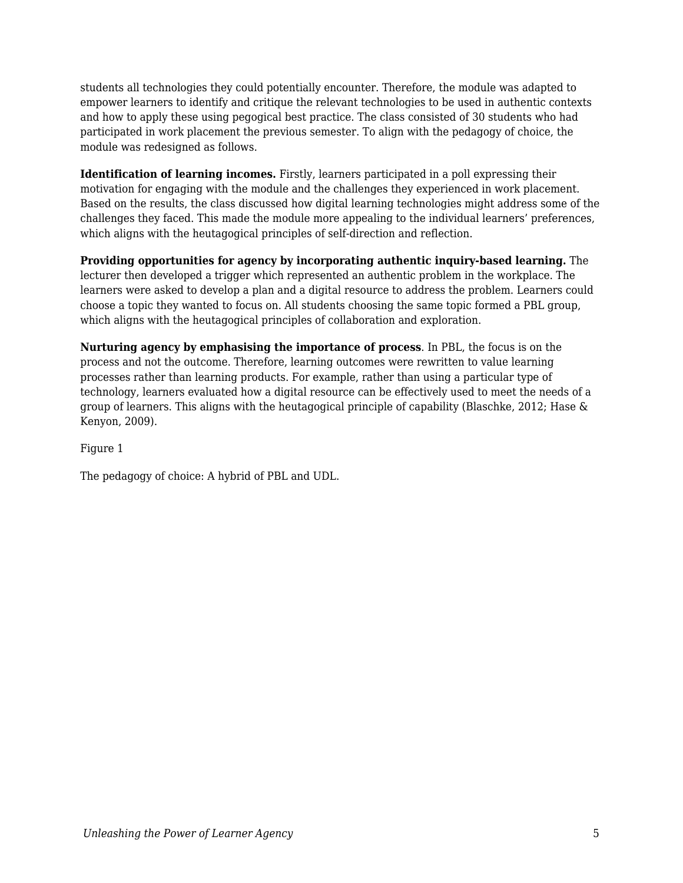students all technologies they could potentially encounter. Therefore, the module was adapted to empower learners to identify and critique the relevant technologies to be used in authentic contexts and how to apply these using pegogical best practice. The class consisted of 30 students who had participated in work placement the previous semester. To align with the pedagogy of choice, the module was redesigned as follows.

**Identification of learning incomes.** Firstly, learners participated in a poll expressing their motivation for engaging with the module and the challenges they experienced in work placement. Based on the results, the class discussed how digital learning technologies might address some of the challenges they faced. This made the module more appealing to the individual learners' preferences, which aligns with the heutagogical principles of self-direction and reflection.

**Providing opportunities for agency by incorporating authentic inquiry-based learning.** The lecturer then developed a trigger which represented an authentic problem in the workplace. The learners were asked to develop a plan and a digital resource to address the problem. Learners could choose a topic they wanted to focus on. All students choosing the same topic formed a PBL group, which aligns with the heutagogical principles of collaboration and exploration.

**Nurturing agency by emphasising the importance of process**. In PBL, the focus is on the process and not the outcome. Therefore, learning outcomes were rewritten to value learning processes rather than learning products. For example, rather than using a particular type of technology, learners evaluated how a digital resource can be effectively used to meet the needs of a group of learners. This aligns with the heutagogical principle of capability (Blaschke, 2012; Hase & Kenyon, 2009).

Figure 1

The pedagogy of choice: A hybrid of PBL and UDL.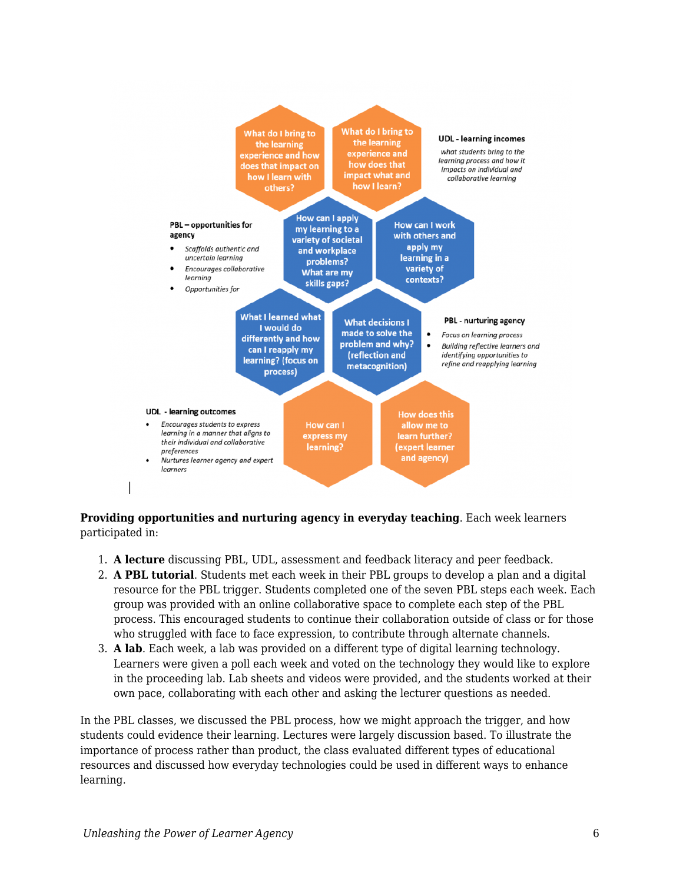

#### **Providing opportunities and nurturing agency in everyday teaching**. Each week learners participated in:

- 1. **A lecture** discussing PBL, UDL, assessment and feedback literacy and peer feedback.
- 2. **A PBL tutorial**. Students met each week in their PBL groups to develop a plan and a digital resource for the PBL trigger. Students completed one of the seven PBL steps each week. Each group was provided with an online collaborative space to complete each step of the PBL process. This encouraged students to continue their collaboration outside of class or for those who struggled with face to face expression, to contribute through alternate channels.
- 3. **A lab**. Each week, a lab was provided on a different type of digital learning technology. Learners were given a poll each week and voted on the technology they would like to explore in the proceeding lab. Lab sheets and videos were provided, and the students worked at their own pace, collaborating with each other and asking the lecturer questions as needed.

In the PBL classes, we discussed the PBL process, how we might approach the trigger, and how students could evidence their learning. Lectures were largely discussion based. To illustrate the importance of process rather than product, the class evaluated different types of educational resources and discussed how everyday technologies could be used in different ways to enhance learning.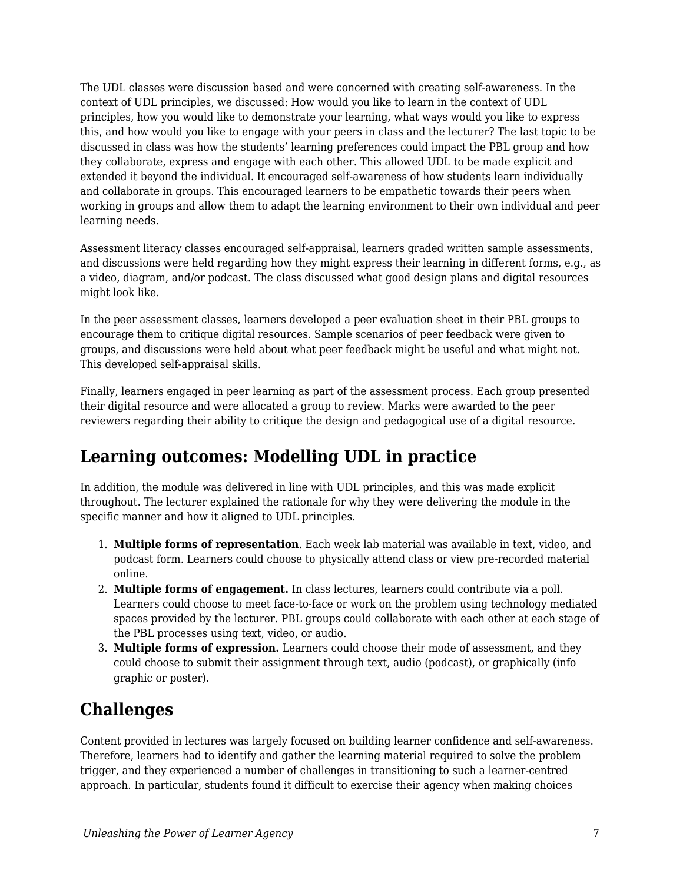The UDL classes were discussion based and were concerned with creating self-awareness. In the context of UDL principles, we discussed: How would you like to learn in the context of UDL principles, how you would like to demonstrate your learning, what ways would you like to express this, and how would you like to engage with your peers in class and the lecturer? The last topic to be discussed in class was how the students' learning preferences could impact the PBL group and how they collaborate, express and engage with each other. This allowed UDL to be made explicit and extended it beyond the individual. It encouraged self-awareness of how students learn individually and collaborate in groups. This encouraged learners to be empathetic towards their peers when working in groups and allow them to adapt the learning environment to their own individual and peer learning needs.

Assessment literacy classes encouraged self-appraisal, learners graded written sample assessments, and discussions were held regarding how they might express their learning in different forms, e.g., as a video, diagram, and/or podcast. The class discussed what good design plans and digital resources might look like.

In the peer assessment classes, learners developed a peer evaluation sheet in their PBL groups to encourage them to critique digital resources. Sample scenarios of peer feedback were given to groups, and discussions were held about what peer feedback might be useful and what might not. This developed self-appraisal skills.

Finally, learners engaged in peer learning as part of the assessment process. Each group presented their digital resource and were allocated a group to review. Marks were awarded to the peer reviewers regarding their ability to critique the design and pedagogical use of a digital resource.

## **Learning outcomes: Modelling UDL in practice**

In addition, the module was delivered in line with UDL principles, and this was made explicit throughout. The lecturer explained the rationale for why they were delivering the module in the specific manner and how it aligned to UDL principles.

- 1. **Multiple forms of representation**. Each week lab material was available in text, video, and podcast form. Learners could choose to physically attend class or view pre-recorded material online.
- 2. **Multiple forms of engagement.** In class lectures, learners could contribute via a poll. Learners could choose to meet face-to-face or work on the problem using technology mediated spaces provided by the lecturer. PBL groups could collaborate with each other at each stage of the PBL processes using text, video, or audio.
- 3. **Multiple forms of expression.** Learners could choose their mode of assessment, and they could choose to submit their assignment through text, audio (podcast), or graphically (info graphic or poster).

## **Challenges**

Content provided in lectures was largely focused on building learner confidence and self-awareness. Therefore, learners had to identify and gather the learning material required to solve the problem trigger, and they experienced a number of challenges in transitioning to such a learner-centred approach. In particular, students found it difficult to exercise their agency when making choices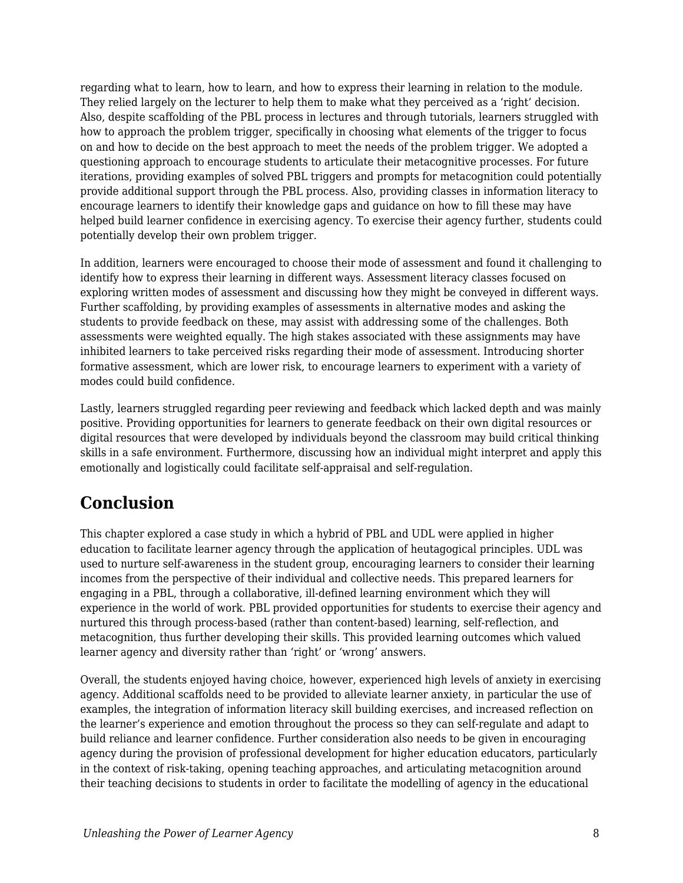regarding what to learn, how to learn, and how to express their learning in relation to the module. They relied largely on the lecturer to help them to make what they perceived as a 'right' decision. Also, despite scaffolding of the PBL process in lectures and through tutorials, learners struggled with how to approach the problem trigger, specifically in choosing what elements of the trigger to focus on and how to decide on the best approach to meet the needs of the problem trigger. We adopted a questioning approach to encourage students to articulate their metacognitive processes. For future iterations, providing examples of solved PBL triggers and prompts for metacognition could potentially provide additional support through the PBL process. Also, providing classes in information literacy to encourage learners to identify their knowledge gaps and guidance on how to fill these may have helped build learner confidence in exercising agency. To exercise their agency further, students could potentially develop their own problem trigger.

In addition, learners were encouraged to choose their mode of assessment and found it challenging to identify how to express their learning in different ways. Assessment literacy classes focused on exploring written modes of assessment and discussing how they might be conveyed in different ways. Further scaffolding, by providing examples of assessments in alternative modes and asking the students to provide feedback on these, may assist with addressing some of the challenges. Both assessments were weighted equally. The high stakes associated with these assignments may have inhibited learners to take perceived risks regarding their mode of assessment. Introducing shorter formative assessment, which are lower risk, to encourage learners to experiment with a variety of modes could build confidence.

Lastly, learners struggled regarding peer reviewing and feedback which lacked depth and was mainly positive. Providing opportunities for learners to generate feedback on their own digital resources or digital resources that were developed by individuals beyond the classroom may build critical thinking skills in a safe environment. Furthermore, discussing how an individual might interpret and apply this emotionally and logistically could facilitate self-appraisal and self-regulation.

## **Conclusion**

This chapter explored a case study in which a hybrid of PBL and UDL were applied in higher education to facilitate learner agency through the application of heutagogical principles. UDL was used to nurture self-awareness in the student group, encouraging learners to consider their learning incomes from the perspective of their individual and collective needs. This prepared learners for engaging in a PBL, through a collaborative, ill-defined learning environment which they will experience in the world of work. PBL provided opportunities for students to exercise their agency and nurtured this through process-based (rather than content-based) learning, self-reflection, and metacognition, thus further developing their skills. This provided learning outcomes which valued learner agency and diversity rather than 'right' or 'wrong' answers.

Overall, the students enjoyed having choice, however, experienced high levels of anxiety in exercising agency. Additional scaffolds need to be provided to alleviate learner anxiety, in particular the use of examples, the integration of information literacy skill building exercises, and increased reflection on the learner's experience and emotion throughout the process so they can self-regulate and adapt to build reliance and learner confidence. Further consideration also needs to be given in encouraging agency during the provision of professional development for higher education educators, particularly in the context of risk-taking, opening teaching approaches, and articulating metacognition around their teaching decisions to students in order to facilitate the modelling of agency in the educational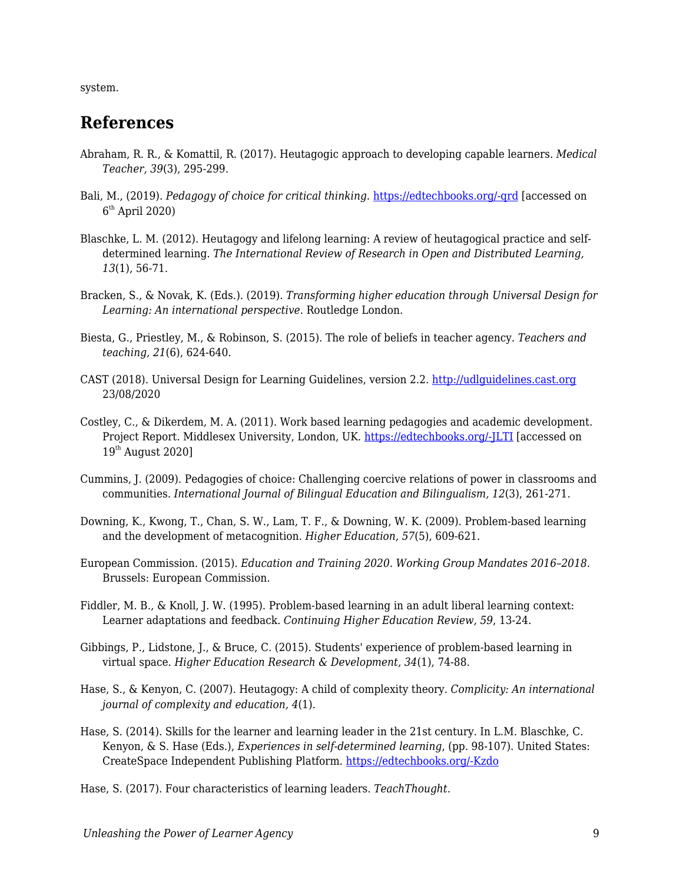system.

### **References**

- Abraham, R. R., & Komattil, R. (2017). Heutagogic approach to developing capable learners. *Medical Teacher, 39*(3), 295-299.
- Bali, M., (2019). *Pedagogy of choice for critical thinking.* [https://edtechbooks.org/-qrd](https://blog.mahabali.me/pedagogy/pedagogy-of-choice-for-critical-thinking/) [accessed on 6 th April 2020)
- Blaschke, L. M. (2012). Heutagogy and lifelong learning: A review of heutagogical practice and selfdetermined learning. *The International Review of Research in Open and Distributed Learning, 13*(1), 56-71.
- Bracken, S., & Novak, K. (Eds.). (2019). *Transforming higher education through Universal Design for Learning: An international perspective*. Routledge London.
- Biesta, G., Priestley, M., & Robinson, S. (2015). The role of beliefs in teacher agency. *Teachers and teaching, 21*(6), 624-640.
- CAST (2018). Universal Design for Learning Guidelines, version 2.2. <http://udlguidelines.cast.org> 23/08/2020
- Costley, C., & Dikerdem, M. A. (2011). Work based learning pedagogies and academic development. Project Report. Middlesex University, London, UK. [https://edtechbooks.org/-JLTI](http://eprints.mdx.ac.uk/8819/1/) [accessed on  $19<sup>th</sup>$  August 2020]
- Cummins, J. (2009). Pedagogies of choice: Challenging coercive relations of power in classrooms and communities. *International Journal of Bilingual Education and Bilingualism, 12*(3), 261-271.
- Downing, K., Kwong, T., Chan, S. W., Lam, T. F., & Downing, W. K. (2009). Problem-based learning and the development of metacognition. *Higher Education, 57*(5), 609-621.
- European Commission. (2015). *Education and Training 2020. Working Group Mandates 2016–2018*. Brussels: European Commission.
- Fiddler, M. B., & Knoll, J. W. (1995). Problem-based learning in an adult liberal learning context: Learner adaptations and feedback. *Continuing Higher Education Review, 59*, 13-24.
- Gibbings, P., Lidstone, J., & Bruce, C. (2015). Students' experience of problem-based learning in virtual space. *Higher Education Research & Development, 34*(1), 74-88.
- Hase, S., & Kenyon, C. (2007). Heutagogy: A child of complexity theory. *Complicity: An international journal of complexity and education, 4*(1).
- Hase, S. (2014). Skills for the learner and learning leader in the 21st century. In L.M. Blaschke, C. Kenyon, & S. Hase (Eds.), *Experiences in self-determined learning*, (pp. 98-107). United States: CreateSpace Independent Publishing Platform. [https://edtechbooks.org/-Kzdo](https://uol.de/coer/announcements/free-oer-now-available-experiences-in-self-determined-learning/)

Hase, S. (2017). Four characteristics of learning leaders. *TeachThought*.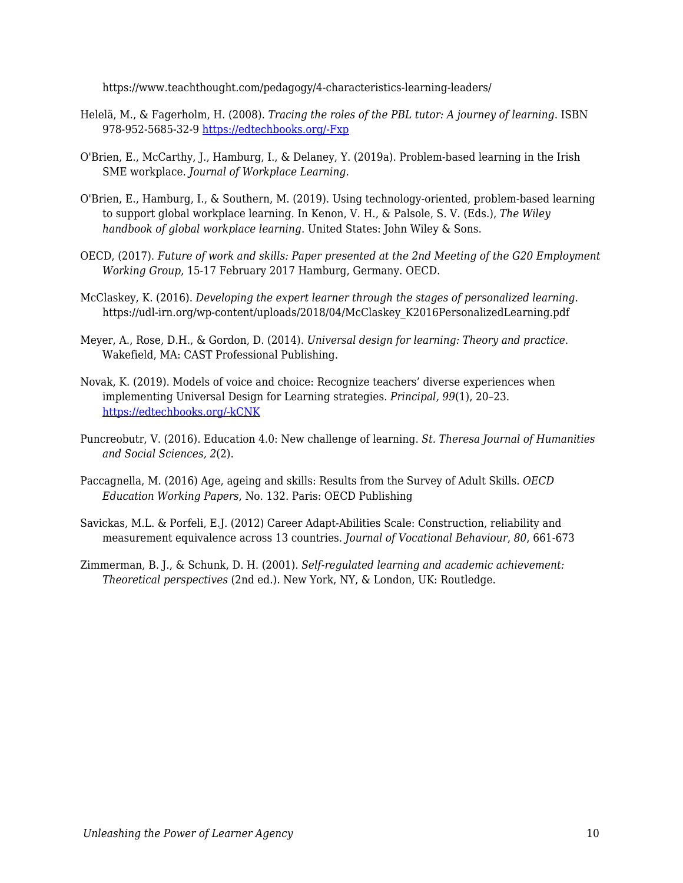https://www.teachthought.com/pedagogy/4-characteristics-learning-leaders/

- Helelä, M., & Fagerholm, H. (2008). *Tracing the roles of the PBL tutor: A journey of learning*. ISBN 978-952-5685-32-9 [https://edtechbooks.org/-Fxp](https://www.theseus.fi/bitstream/handle/10024/97121/pbl.pdf?sequence=1)
- O'Brien, E., McCarthy, J., Hamburg, I., & Delaney, Y. (2019a). Problem-based learning in the Irish SME workplace. *Journal of Workplace Learning.*
- O'Brien, E., Hamburg, I., & Southern, M. (2019). Using technology‐oriented, problem‐based learning to support global workplace learning. In Kenon, V. H., & Palsole, S. V. (Eds.), *The Wiley handbook of global workplace learning*. United States: John Wiley & Sons.
- OECD, (2017). *Future of work and skills: Paper presented at the 2nd Meeting of the G20 Employment Working Group,* 15-17 February 2017 Hamburg, Germany. OECD.
- McClaskey, K. (2016). *Developing the expert learner through the stages of personalized learning*. https://udl-irn.org/wp-content/uploads/2018/04/McClaskey\_K2016PersonalizedLearning.pdf
- Meyer, A., Rose, D.H., & Gordon, D. (2014). *Universal design for learning: Theory and practice*. Wakefield, MA: CAST Professional Publishing.
- Novak, K. (2019). Models of voice and choice: Recognize teachers' diverse experiences when implementing Universal Design for Learning strategies. *Principal, 99*(1), 20–23. [https://edtechbooks.org/-kCNK](https://www.naesp.org/principal-septemberoctober-2019-personalized-learning/models-voice-and-choice)
- Puncreobutr, V. (2016). Education 4.0: New challenge of learning. *St. Theresa Journal of Humanities and Social Sciences, 2*(2).
- Paccagnella, M. (2016) Age, ageing and skills: Results from the Survey of Adult Skills. *OECD Education Working Papers*, No. 132. Paris: OECD Publishing
- Savickas, M.L. & Porfeli, E.J. (2012) Career Adapt-Abilities Scale: Construction, reliability and measurement equivalence across 13 countries. *Journal of Vocational Behaviour*, *80*, 661-673
- Zimmerman, B. J., & Schunk, D. H. (2001). *Self-regulated learning and academic achievement: Theoretical perspectives* (2nd ed.). New York, NY, & London, UK: Routledge.